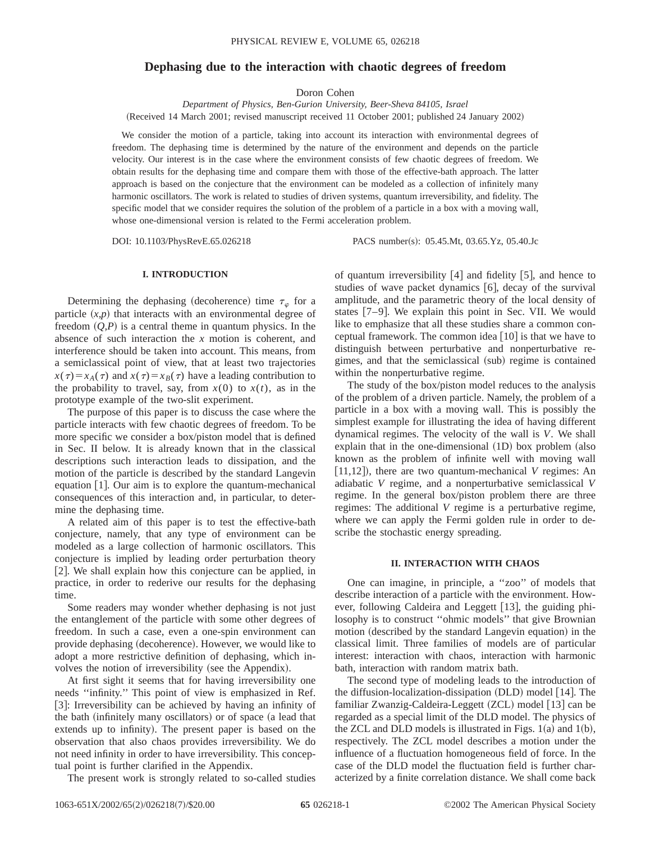# **Dephasing due to the interaction with chaotic degrees of freedom**

Doron Cohen

*Department of Physics, Ben-Gurion University, Beer-Sheva 84105, Israel* (Received 14 March 2001; revised manuscript received 11 October 2001; published 24 January 2002)

We consider the motion of a particle, taking into account its interaction with environmental degrees of freedom. The dephasing time is determined by the nature of the environment and depends on the particle velocity. Our interest is in the case where the environment consists of few chaotic degrees of freedom. We obtain results for the dephasing time and compare them with those of the effective-bath approach. The latter approach is based on the conjecture that the environment can be modeled as a collection of infinitely many harmonic oscillators. The work is related to studies of driven systems, quantum irreversibility, and fidelity. The specific model that we consider requires the solution of the problem of a particle in a box with a moving wall, whose one-dimensional version is related to the Fermi acceleration problem.

DOI: 10.1103/PhysRevE.65.026218 PACS number(s): 05.45.Mt, 03.65.Yz, 05.40.Jc

## **I. INTRODUCTION**

Determining the dephasing (decoherence) time  $\tau_{\varphi}$  for a particle  $(x, p)$  that interacts with an environmental degree of freedom  $(Q, P)$  is a central theme in quantum physics. In the absence of such interaction the *x* motion is coherent, and interference should be taken into account. This means, from a semiclassical point of view, that at least two trajectories  $x(\tau) = x_A(\tau)$  and  $x(\tau) = x_B(\tau)$  have a leading contribution to the probability to travel, say, from  $x(0)$  to  $x(t)$ , as in the prototype example of the two-slit experiment.

The purpose of this paper is to discuss the case where the particle interacts with few chaotic degrees of freedom. To be more specific we consider a box/piston model that is defined in Sec. II below. It is already known that in the classical descriptions such interaction leads to dissipation, and the motion of the particle is described by the standard Langevin equation  $[1]$ . Our aim is to explore the quantum-mechanical consequences of this interaction and, in particular, to determine the dephasing time.

A related aim of this paper is to test the effective-bath conjecture, namely, that any type of environment can be modeled as a large collection of harmonic oscillators. This conjecture is implied by leading order perturbation theory [2]. We shall explain how this conjecture can be applied, in practice, in order to rederive our results for the dephasing time.

Some readers may wonder whether dephasing is not just the entanglement of the particle with some other degrees of freedom. In such a case, even a one-spin environment can provide dephasing (decoherence). However, we would like to adopt a more restrictive definition of dephasing, which involves the notion of irreversibility (see the Appendix).

At first sight it seems that for having irreversibility one needs ''infinity.'' This point of view is emphasized in Ref. [3]: Irreversibility can be achieved by having an infinity of the bath (infinitely many oscillators) or of space (a lead that extends up to infinity). The present paper is based on the observation that also chaos provides irreversibility. We do not need infinity in order to have irreversibility. This conceptual point is further clarified in the Appendix.

The present work is strongly related to so-called studies

of quantum irreversibility  $[4]$  and fidelity  $[5]$ , and hence to studies of wave packet dynamics  $[6]$ , decay of the survival amplitude, and the parametric theory of the local density of states  $[7-9]$ . We explain this point in Sec. VII. We would like to emphasize that all these studies share a common conceptual framework. The common idea  $[10]$  is that we have to distinguish between perturbative and nonperturbative regimes, and that the semiclassical (sub) regime is contained within the nonperturbative regime.

The study of the box/piston model reduces to the analysis of the problem of a driven particle. Namely, the problem of a particle in a box with a moving wall. This is possibly the simplest example for illustrating the idea of having different dynamical regimes. The velocity of the wall is *V*. We shall explain that in the one-dimensional  $(1D)$  box problem  $(also$ known as the problem of infinite well with moving wall  $[11,12]$ ), there are two quantum-mechanical *V* regimes: An adiabatic *V* regime, and a nonperturbative semiclassical *V* regime. In the general box/piston problem there are three regimes: The additional *V* regime is a perturbative regime, where we can apply the Fermi golden rule in order to describe the stochastic energy spreading.

## **II. INTERACTION WITH CHAOS**

One can imagine, in principle, a ''zoo'' of models that describe interaction of a particle with the environment. However, following Caldeira and Leggett [13], the guiding philosophy is to construct ''ohmic models'' that give Brownian motion (described by the standard Langevin equation) in the classical limit. Three families of models are of particular interest: interaction with chaos, interaction with harmonic bath, interaction with random matrix bath.

The second type of modeling leads to the introduction of the diffusion-localization-dissipation  $(DLD)$  model  $[14]$ . The familiar Zwanzig-Caldeira-Leggett  $(ZCL)$  model  $[13]$  can be regarded as a special limit of the DLD model. The physics of the ZCL and DLD models is illustrated in Figs.  $1(a)$  and  $1(b)$ , respectively. The ZCL model describes a motion under the influence of a fluctuation homogeneous field of force. In the case of the DLD model the fluctuation field is further characterized by a finite correlation distance. We shall come back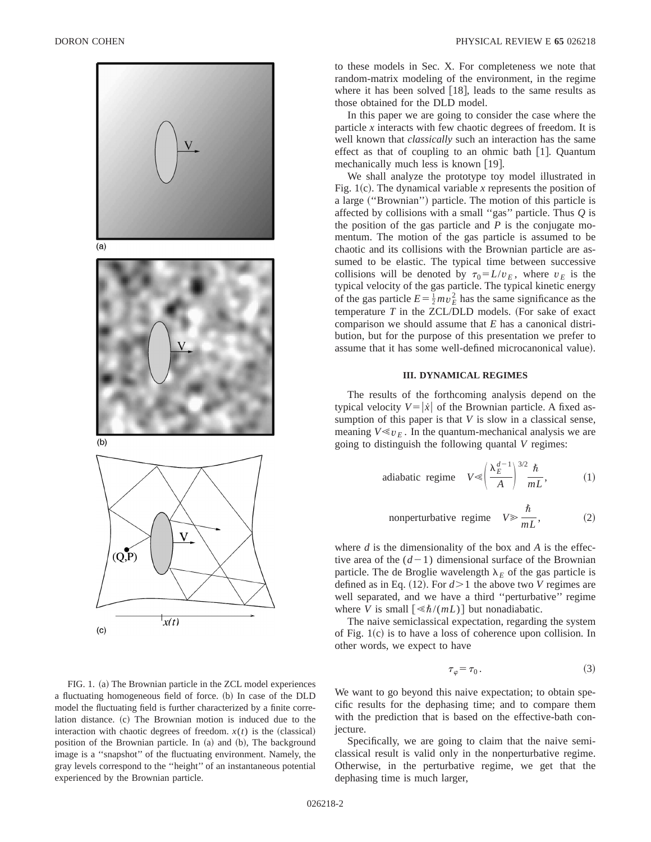

 $(a)$ 



 $(b)$ 



FIG. 1. (a) The Brownian particle in the ZCL model experiences a fluctuating homogeneous field of force. (b) In case of the DLD model the fluctuating field is further characterized by a finite correlation distance. (c) The Brownian motion is induced due to the interaction with chaotic degrees of freedom.  $x(t)$  is the (classical) position of the Brownian particle. In (a) and (b), The background image is a ''snapshot'' of the fluctuating environment. Namely, the gray levels correspond to the ''height'' of an instantaneous potential experienced by the Brownian particle.

to these models in Sec. X. For completeness we note that random-matrix modeling of the environment, in the regime where it has been solved  $[18]$ , leads to the same results as those obtained for the DLD model.

In this paper we are going to consider the case where the particle *x* interacts with few chaotic degrees of freedom. It is well known that *classically* such an interaction has the same effect as that of coupling to an ohmic bath  $[1]$ . Quantum mechanically much less is known  $[19]$ .

We shall analyze the prototype toy model illustrated in Fig. 1(c). The dynamical variable  $x$  represents the position of a large ("Brownian") particle. The motion of this particle is affected by collisions with a small ''gas'' particle. Thus *Q* is the position of the gas particle and *P* is the conjugate momentum. The motion of the gas particle is assumed to be chaotic and its collisions with the Brownian particle are assumed to be elastic. The typical time between successive collisions will be denoted by  $\tau_0 = L/v_E$ , where  $v_E$  is the typical velocity of the gas particle. The typical kinetic energy of the gas particle  $E = \frac{1}{2} m v_E^2$  has the same significance as the temperature  $T$  in the ZCL/DLD models. (For sake of exact comparison we should assume that *E* has a canonical distribution, but for the purpose of this presentation we prefer to assume that it has some well-defined microcanonical value).

## **III. DYNAMICAL REGIMES**

The results of the forthcoming analysis depend on the typical velocity  $V = |\dot{x}|$  of the Brownian particle. A fixed assumption of this paper is that *V* is slow in a classical sense, meaning  $V \ll v_E$ . In the quantum-mechanical analysis we are going to distinguish the following quantal *V* regimes:

adiabatic regime 
$$
V \ll \left(\frac{\lambda_E^{d-1}}{A}\right)^{3/2} \frac{\hbar}{mL}
$$
, (1)

nonperturbative regime 
$$
V \ge \frac{\hbar}{mL}
$$
, (2)

where *d* is the dimensionality of the box and *A* is the effective area of the  $(d-1)$  dimensional surface of the Brownian particle. The de Broglie wavelength  $\lambda_E$  of the gas particle is defined as in Eq.  $(12)$ . For  $d > 1$  the above two *V* regimes are well separated, and we have a third ''perturbative'' regime where *V* is small  $\lceil \ll \hbar/(mL) \rceil$  but nonadiabatic.

The naive semiclassical expectation, regarding the system of Fig.  $1(c)$  is to have a loss of coherence upon collision. In other words, we expect to have

$$
\tau_{\varphi} = \tau_0. \tag{3}
$$

We want to go beyond this naive expectation; to obtain specific results for the dephasing time; and to compare them with the prediction that is based on the effective-bath conjecture.

Specifically, we are going to claim that the naive semiclassical result is valid only in the nonperturbative regime. Otherwise, in the perturbative regime, we get that the dephasing time is much larger,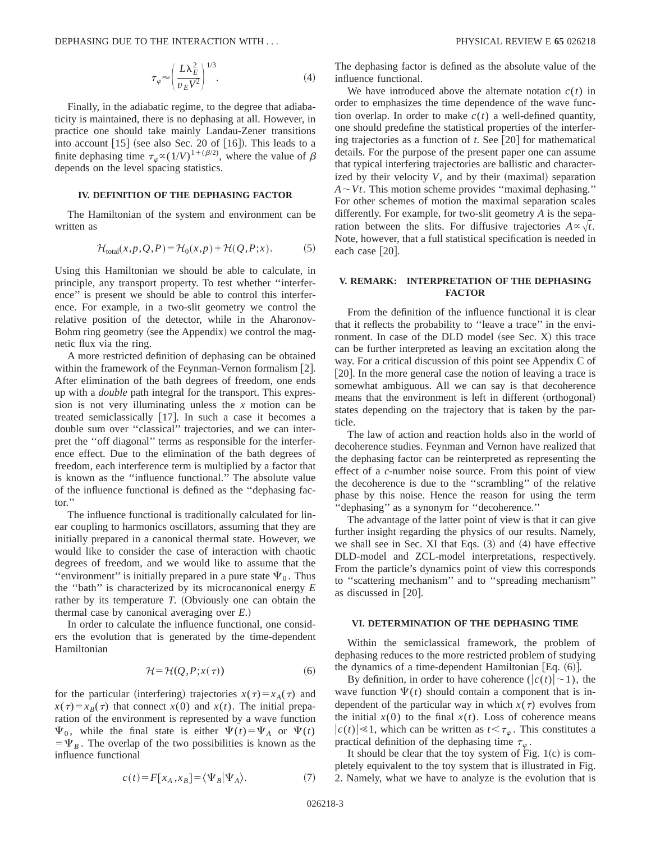$$
\tau_{\varphi} \approx \left(\frac{L\lambda_E^2}{v_E V^2}\right)^{1/3}.\tag{4}
$$

Finally, in the adiabatic regime, to the degree that adiabaticity is maintained, there is no dephasing at all. However, in practice one should take mainly Landau-Zener transitions into account  $[15]$  (see also Sec. 20 of  $[16]$ ). This leads to a finite dephasing time  $\tau_{\varphi} \propto (1/V)^{1+(\beta/2)}$ , where the value of  $\beta$ depends on the level spacing statistics.

## **IV. DEFINITION OF THE DEPHASING FACTOR**

The Hamiltonian of the system and environment can be written as

$$
\mathcal{H}_{\text{total}}(x, p, Q, P) = \mathcal{H}_0(x, p) + \mathcal{H}(Q, P; x). \tag{5}
$$

Using this Hamiltonian we should be able to calculate, in principle, any transport property. To test whether ''interference'' is present we should be able to control this interference. For example, in a two-slit geometry we control the relative position of the detector, while in the Aharonov-Bohm ring geometry (see the Appendix) we control the magnetic flux via the ring.

A more restricted definition of dephasing can be obtained within the framework of the Feynman-Vernon formalism  $[2]$ . After elimination of the bath degrees of freedom, one ends up with a *double* path integral for the transport. This expression is not very illuminating unless the *x* motion can be treated semiclassically  $[17]$ . In such a case it becomes a double sum over ''classical'' trajectories, and we can interpret the ''off diagonal'' terms as responsible for the interference effect. Due to the elimination of the bath degrees of freedom, each interference term is multiplied by a factor that is known as the ''influence functional.'' The absolute value of the influence functional is defined as the ''dephasing factor.''

The influence functional is traditionally calculated for linear coupling to harmonics oscillators, assuming that they are initially prepared in a canonical thermal state. However, we would like to consider the case of interaction with chaotic degrees of freedom, and we would like to assume that the "environment" is initially prepared in a pure state  $\Psi_0$ . Thus the ''bath'' is characterized by its microcanonical energy *E* rather by its temperature  $T$ . (Obviously one can obtain the thermal case by canonical averaging over  $E$ .)

In order to calculate the influence functional, one considers the evolution that is generated by the time-dependent Hamiltonian

$$
\mathcal{H} = \mathcal{H}(Q, P; x(\tau))\tag{6}
$$

for the particular (interfering) trajectories  $x(\tau) = x_A(\tau)$  and  $x(\tau) = x_B(\tau)$  that connect  $x(0)$  and  $x(t)$ . The initial preparation of the environment is represented by a wave function  $\Psi_0$ , while the final state is either  $\Psi(t) = \Psi_A$  or  $\Psi(t)$  $=\Psi_B$ . The overlap of the two possibilities is known as the influence functional

The dephasing factor is defined as the absolute value of the influence functional.

We have introduced above the alternate notation  $c(t)$  in order to emphasizes the time dependence of the wave function overlap. In order to make  $c(t)$  a well-defined quantity, one should predefine the statistical properties of the interfering trajectories as a function of  $t$ . See  $[20]$  for mathematical details. For the purpose of the present paper one can assume that typical interfering trajectories are ballistic and characterized by their velocity  $V$ , and by their (maximal) separation  $A \sim Vt$ . This motion scheme provides "maximal dephasing." For other schemes of motion the maximal separation scales differently. For example, for two-slit geometry *A* is the separation between the slits. For diffusive trajectories  $A \propto \sqrt{t}$ . Note, however, that a full statistical specification is needed in each case  $[20]$ .

# **V. REMARK: INTERPRETATION OF THE DEPHASING FACTOR**

From the definition of the influence functional it is clear that it reflects the probability to ''leave a trace'' in the environment. In case of the DLD model (see Sec.  $X$ ) this trace can be further interpreted as leaving an excitation along the way. For a critical discussion of this point see Appendix C of [20]. In the more general case the notion of leaving a trace is somewhat ambiguous. All we can say is that decoherence means that the environment is left in different (orthogonal) states depending on the trajectory that is taken by the particle.

The law of action and reaction holds also in the world of decoherence studies. Feynman and Vernon have realized that the dephasing factor can be reinterpreted as representing the effect of a *c*-number noise source. From this point of view the decoherence is due to the ''scrambling'' of the relative phase by this noise. Hence the reason for using the term ''dephasing'' as a synonym for ''decoherence.''

The advantage of the latter point of view is that it can give further insight regarding the physics of our results. Namely, we shall see in Sec. XI that Eqs.  $(3)$  and  $(4)$  have effective DLD-model and ZCL-model interpretations, respectively. From the particle's dynamics point of view this corresponds to ''scattering mechanism'' and to ''spreading mechanism'' as discussed in  $[20]$ .

## **VI. DETERMINATION OF THE DEPHASING TIME**

Within the semiclassical framework, the problem of dephasing reduces to the more restricted problem of studying the dynamics of a time-dependent Hamiltonian [Eq.  $(6)$ ].

By definition, in order to have coherence  $(|c(t)| \sim 1)$ , the wave function  $\Psi(t)$  should contain a component that is independent of the particular way in which  $x(\tau)$  evolves from the initial  $x(0)$  to the final  $x(t)$ . Loss of coherence means  $|c(t)| \ll 1$ , which can be written as  $t < \tau_{\varphi}$ . This constitutes a practical definition of the dephasing time  $\tau_{\varphi}$ .

It should be clear that the toy system of Fig.  $1(c)$  is completely equivalent to the toy system that is illustrated in Fig. 2. Namely, what we have to analyze is the evolution that is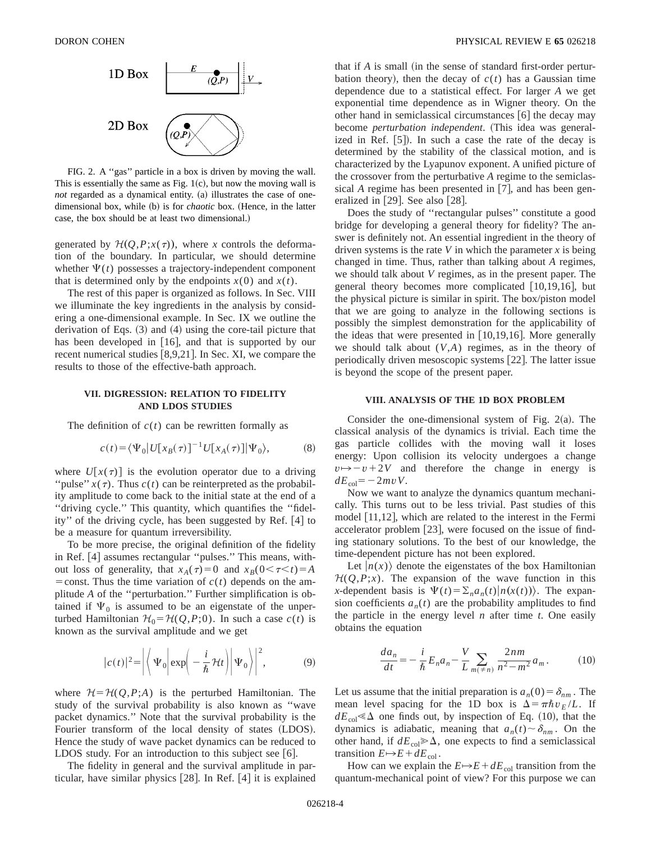

FIG. 2. A ''gas'' particle in a box is driven by moving the wall. This is essentially the same as Fig.  $1(c)$ , but now the moving wall is *not* regarded as a dynamical entity. (a) illustrates the case of onedimensional box, while (b) is for *chaotic* box. (Hence, in the latter case, the box should be at least two dimensional.)

generated by  $H(Q, P; x(\tau))$ , where *x* controls the deformation of the boundary. In particular, we should determine whether  $\Psi(t)$  possesses a trajectory-independent component that is determined only by the endpoints  $x(0)$  and  $x(t)$ .

The rest of this paper is organized as follows. In Sec. VIII we illuminate the key ingredients in the analysis by considering a one-dimensional example. In Sec. IX we outline the derivation of Eqs.  $(3)$  and  $(4)$  using the core-tail picture that has been developed in  $[16]$ , and that is supported by our recent numerical studies  $[8,9,21]$ . In Sec. XI, we compare the results to those of the effective-bath approach.

## **VII. DIGRESSION: RELATION TO FIDELITY AND LDOS STUDIES**

The definition of  $c(t)$  can be rewritten formally as

$$
c(t) = \langle \Psi_0 | U[x_B(\tau)]^{-1} U[x_A(\tau)] | \Psi_0 \rangle, \tag{8}
$$

where  $U[x(\tau)]$  is the evolution operator due to a driving "pulse"  $x(\tau)$ . Thus  $c(t)$  can be reinterpreted as the probability amplitude to come back to the initial state at the end of a ''driving cycle.'' This quantity, which quantifies the ''fidelity" of the driving cycle, has been suggested by Ref. [4] to be a measure for quantum irreversibility.

To be more precise, the original definition of the fidelity in Ref. [4] assumes rectangular "pulses." This means, without loss of generality, that  $x_A(\tau)=0$  and  $x_B(0<\tau< t)=A$ = const. Thus the time variation of  $c(t)$  depends on the amplitude *A* of the ''perturbation.'' Further simplification is obtained if  $\Psi_0$  is assumed to be an eigenstate of the unperturbed Hamiltonian  $\mathcal{H}_0 = \mathcal{H}(Q, P; 0)$ . In such a case  $c(t)$  is known as the survival amplitude and we get

$$
|c(t)|^2 = \left| \left\langle \Psi_0 \left| \exp\left( -\frac{i}{\hbar} \mathcal{H}t \right) \right| \Psi_0 \right\rangle \right|^2, \tag{9}
$$

where  $H = H(Q, P; A)$  is the perturbed Hamiltonian. The study of the survival probability is also known as ''wave packet dynamics.'' Note that the survival probability is the Fourier transform of the local density of states (LDOS). Hence the study of wave packet dynamics can be reduced to LDOS study. For an introduction to this subject see  $[6]$ .

The fidelity in general and the survival amplitude in particular, have similar physics  $[28]$ . In Ref.  $[4]$  it is explained that if  $A$  is small (in the sense of standard first-order perturbation theory), then the decay of  $c(t)$  has a Gaussian time dependence due to a statistical effect. For larger *A* we get exponential time dependence as in Wigner theory. On the other hand in semiclassical circumstances  $[6]$  the decay may become *perturbation independent*. (This idea was generalized in Ref.  $[5]$ . In such a case the rate of the decay is determined by the stability of the classical motion, and is characterized by the Lyapunov exponent. A unified picture of the crossover from the perturbative *A* regime to the semiclassical *A* regime has been presented in  $[7]$ , and has been generalized in  $[29]$ . See also  $[28]$ .

Does the study of ''rectangular pulses'' constitute a good bridge for developing a general theory for fidelity? The answer is definitely not. An essential ingredient in the theory of driven systems is the rate  $V$  in which the parameter  $x$  is being changed in time. Thus, rather than talking about *A* regimes, we should talk about *V* regimes, as in the present paper. The general theory becomes more complicated  $[10,19,16]$ , but the physical picture is similar in spirit. The box/piston model that we are going to analyze in the following sections is possibly the simplest demonstration for the applicability of the ideas that were presented in  $[10,19,16]$ . More generally we should talk about (*V*,*A*) regimes, as in the theory of periodically driven mesoscopic systems [22]. The latter issue is beyond the scope of the present paper.

## **VIII. ANALYSIS OF THE 1D BOX PROBLEM**

Consider the one-dimensional system of Fig.  $2(a)$ . The classical analysis of the dynamics is trivial. Each time the gas particle collides with the moving wall it loses energy: Upon collision its velocity undergoes a change  $v \rightarrow v + 2V$  and therefore the change in energy is  $dE_{col} = -2mvV$ .

Now we want to analyze the dynamics quantum mechanically. This turns out to be less trivial. Past studies of this model  $[11,12]$ , which are related to the interest in the Fermi accelerator problem  $[23]$ , were focused on the issue of finding stationary solutions. To the best of our knowledge, the time-dependent picture has not been explored.

Let  $|n(x)\rangle$  denote the eigenstates of the box Hamiltonian  $H(Q, P; x)$ . The expansion of the wave function in this *x*-dependent basis is  $\Psi(t) = \sum_{n} a_n(t) |n(x(t))\rangle$ . The expansion coefficients  $a_n(t)$  are the probability amplitudes to find the particle in the energy level *n* after time *t*. One easily obtains the equation

$$
\frac{da_n}{dt} = -\frac{i}{\hbar} E_n a_n - \frac{V}{L} \sum_{m(\neq n)} \frac{2nm}{n^2 - m^2} a_m.
$$
 (10)

Let us assume that the initial preparation is  $a_n(0) = \delta_{nm}$ . The mean level spacing for the 1D box is  $\Delta = \pi \hbar v_E / L$ . If  $dE_{\text{col}} \ll \Delta$  one finds out, by inspection of Eq. (10), that the dynamics is adiabatic, meaning that  $a_n(t) \sim \delta_{nm}$ . On the other hand, if  $dE_{\text{col}} \geq \Delta$ , one expects to find a semiclassical transition  $E \rightarrow E + dE_{col}$ .

How can we explain the  $E \rightarrow E + dE_{\text{col}}$  transition from the quantum-mechanical point of view? For this purpose we can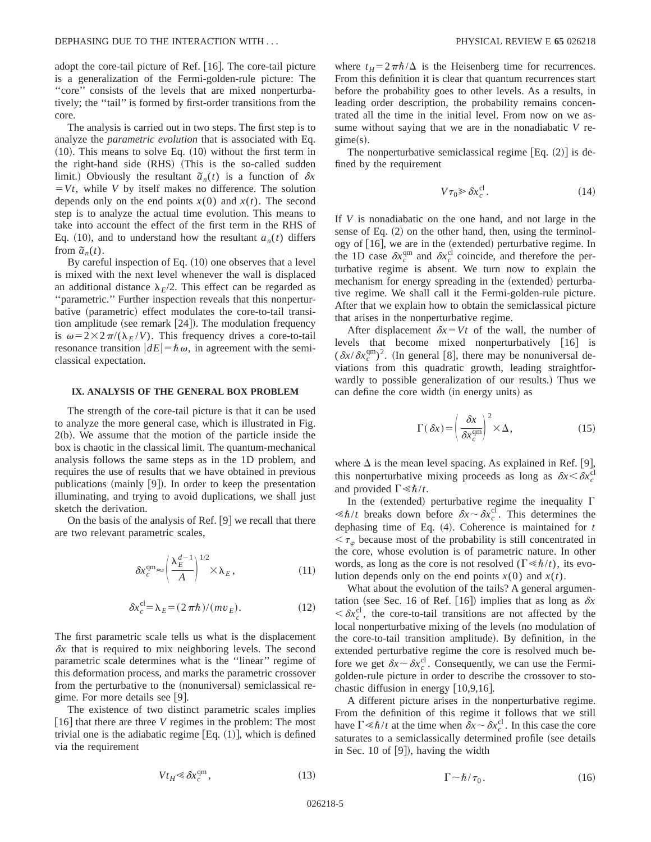adopt the core-tail picture of Ref.  $\vert 16 \vert$ . The core-tail picture is a generalization of the Fermi-golden-rule picture: The ''core'' consists of the levels that are mixed nonperturbatively; the ''tail'' is formed by first-order transitions from the core.

The analysis is carried out in two steps. The first step is to analyze the *parametric evolution* that is associated with Eq.  $(10)$ . This means to solve Eq.  $(10)$  without the first term in the right-hand side (RHS) (This is the so-called sudden limit.) Obviously the resultant  $\tilde{a}_n(t)$  is a function of  $\delta x$  $= Vt$ , while *V* by itself makes no difference. The solution depends only on the end points  $x(0)$  and  $x(t)$ . The second step is to analyze the actual time evolution. This means to take into account the effect of the first term in the RHS of Eq. (10), and to understand how the resultant  $a_n(t)$  differs from  $\tilde{a}_n(t)$ .

By careful inspection of Eq.  $(10)$  one observes that a level is mixed with the next level whenever the wall is displaced an additional distance  $\lambda_F/2$ . This effect can be regarded as ''parametric.'' Further inspection reveals that this nonperturbative (parametric) effect modulates the core-to-tail transition amplitude (see remark  $[24]$ ). The modulation frequency is  $\omega = 2 \times 2\pi/(\lambda_F/V)$ . This frequency drives a core-to-tail resonance transition  $|dE| = \hbar \omega$ , in agreement with the semiclassical expectation.

## **IX. ANALYSIS OF THE GENERAL BOX PROBLEM**

The strength of the core-tail picture is that it can be used to analyze the more general case, which is illustrated in Fig.  $2(b)$ . We assume that the motion of the particle inside the box is chaotic in the classical limit. The quantum-mechanical analysis follows the same steps as in the 1D problem, and requires the use of results that we have obtained in previous publications (mainly  $[9]$ ). In order to keep the presentation illuminating, and trying to avoid duplications, we shall just sketch the derivation.

On the basis of the analysis of Ref.  $[9]$  we recall that there are two relevant parametric scales,

$$
\delta x_c^{\rm qm} \approx \left(\frac{\lambda_E^{d-1}}{A}\right)^{1/2} \times \lambda_E, \tag{11}
$$

$$
\delta x_c^{\text{cl}} = \lambda_E = (2\pi\hbar)/(mv_E). \tag{12}
$$

The first parametric scale tells us what is the displacement  $\delta x$  that is required to mix neighboring levels. The second parametric scale determines what is the ''linear'' regime of this deformation process, and marks the parametric crossover from the perturbative to the (nonuniversal) semiclassical regime. For more details see  $|9|$ .

The existence of two distinct parametric scales implies  $[16]$  that there are three *V* regimes in the problem: The most trivial one is the adiabatic regime  $[Eq. (1)]$ , which is defined via the requirement

where  $t_H=2\pi\hbar/\Delta$  is the Heisenberg time for recurrences. From this definition it is clear that quantum recurrences start before the probability goes to other levels. As a results, in leading order description, the probability remains concentrated all the time in the initial level. From now on we assume without saying that we are in the nonadiabatic *V* re $gime(s)$ .

The nonperturbative semiclassical regime  $[Eq. (2)]$  is defined by the requirement

$$
V\tau_0 \gg \delta x_c^{\text{cl}}.\tag{14}
$$

If *V* is nonadiabatic on the one hand, and not large in the sense of Eq.  $(2)$  on the other hand, then, using the terminology of  $[16]$ , we are in the (extended) perturbative regime. In the 1D case  $\delta x_c^{\text{qm}}$  and  $\delta x_c^{\text{cl}}$  coincide, and therefore the perturbative regime is absent. We turn now to explain the mechanism for energy spreading in the (extended) perturbative regime. We shall call it the Fermi-golden-rule picture. After that we explain how to obtain the semiclassical picture that arises in the nonperturbative regime.

After displacement  $\delta x = Vt$  of the wall, the number of levels that become mixed nonperturbatively  $\lfloor 16 \rfloor$  is  $(\delta x/\delta x_c^{\text{qm}})^2$ . (In general [8], there may be nonuniversal deviations from this quadratic growth, leading straightforwardly to possible generalization of our results.) Thus we can define the core width (in energy units) as

$$
\Gamma(\delta x) = \left(\frac{\delta x}{\delta x_c^{\text{qm}}}\right)^2 \times \Delta,\tag{15}
$$

where  $\Delta$  is the mean level spacing. As explained in Ref. [9], this nonperturbative mixing proceeds as long as  $\delta x \leq \delta x_c^{\text{cl}}$ and provided  $\Gamma \ll \hbar/t$ .

In the (extended) perturbative regime the inequality  $\Gamma$  $\ll \hbar/t$  breaks down before  $\delta x \sim \delta x_c^{\text{cl}}$ . This determines the dephasing time of Eq.  $(4)$ . Coherence is maintained for  $t$  $\langle \tau_{\varphi} \rangle$  because most of the probability is still concentrated in the core, whose evolution is of parametric nature. In other words, as long as the core is not resolved ( $\Gamma \ll \hbar/t$ ), its evolution depends only on the end points  $x(0)$  and  $x(t)$ .

What about the evolution of the tails? A general argumentation (see Sec. 16 of Ref.  $[16]$ ) implies that as long as  $\delta x$  $\langle \delta x_c^{\text{cl}} \rangle$ , the core-to-tail transitions are not affected by the local nonperturbative mixing of the levels (no modulation of the core-to-tail transition amplitude). By definition, in the extended perturbative regime the core is resolved much before we get  $\delta x \sim \delta x_c^{\text{cl}}$ . Consequently, we can use the Fermigolden-rule picture in order to describe the crossover to stochastic diffusion in energy  $[10,9,16]$ .

A different picture arises in the nonperturbative regime. From the definition of this regime it follows that we still have  $\Gamma \ll \hbar/t$  at the time when  $\delta x \sim \delta x_c^{\text{cl}}$ . In this case the core saturates to a semiclassically determined profile (see details in Sec. 10 of  $[9]$ ), having the width

$$
Vt_H \ll \delta x_c^{\rm qm},\tag{13}
$$

$$
\Gamma \sim \hbar / \tau_0. \tag{16}
$$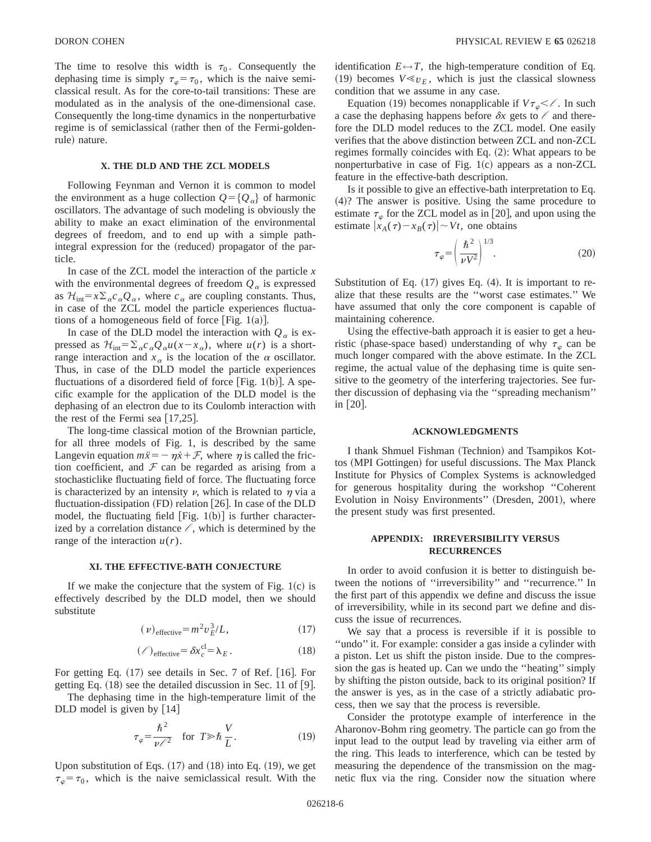The time to resolve this width is  $\tau_0$ . Consequently the dephasing time is simply  $\tau_{\varphi} = \tau_0$ , which is the naive semiclassical result. As for the core-to-tail transitions: These are modulated as in the analysis of the one-dimensional case. Consequently the long-time dynamics in the nonperturbative regime is of semiclassical (rather then of the Fermi-goldenrule) nature.

#### **X. THE DLD AND THE ZCL MODELS**

Following Feynman and Vernon it is common to model the environment as a huge collection  $Q = \{Q_a\}$  of harmonic oscillators. The advantage of such modeling is obviously the ability to make an exact elimination of the environmental degrees of freedom, and to end up with a simple pathintegral expression for the (reduced) propagator of the particle.

In case of the ZCL model the interaction of the particle *x* with the environmental degrees of freedom  $Q_{\alpha}$  is expressed as  $\mathcal{H}_{int} = x \sum_{\alpha} c_{\alpha} Q_{\alpha}$ , where  $c_{\alpha}$  are coupling constants. Thus, in case of the ZCL model the particle experiences fluctuations of a homogeneous field of force [Fig. 1(a)].

In case of the DLD model the interaction with  $Q_{\alpha}$  is expressed as  $\mathcal{H}_{int} = \sum_{\alpha} c_{\alpha} Q_{\alpha} u(x - x_{\alpha})$ , where  $u(r)$  is a shortrange interaction and  $x_\alpha$  is the location of the  $\alpha$  oscillator. Thus, in case of the DLD model the particle experiences fluctuations of a disordered field of force [Fig. 1(b)]. A specific example for the application of the DLD model is the dephasing of an electron due to its Coulomb interaction with the rest of the Fermi sea  $[17,25]$ .

The long-time classical motion of the Brownian particle, for all three models of Fig. 1, is described by the same Langevin equation  $m\ddot{x} = -\eta \dot{x} + \mathcal{F}$ , where  $\eta$  is called the friction coefficient, and  $F$  can be regarded as arising from a stochasticlike fluctuating field of force. The fluctuating force is characterized by an intensity  $\nu$ , which is related to  $\eta$  via a fluctuation-dissipation  $(FD)$  relation  $[26]$ . In case of the DLD model, the fluctuating field  $[Fig. 1(b)]$  is further characterized by a correlation distance  $\ell$ , which is determined by the range of the interaction  $u(r)$ .

### **XI. THE EFFECTIVE-BATH CONJECTURE**

If we make the conjecture that the system of Fig.  $1(c)$  is effectively described by the DLD model, then we should substitute

$$
(\nu)_{\text{effective}} = m^2 \nu_E^3 / L,\tag{17}
$$

$$
(\ell)_{\text{effective}} = \delta x_c^{\text{cl}} = \lambda_E. \tag{18}
$$

For getting Eq.  $(17)$  see details in Sec. 7 of Ref. [16]. For getting Eq.  $(18)$  see the detailed discussion in Sec. 11 of [9].

The dephasing time in the high-temperature limit of the DLD model is given by  $[14]$ 

$$
\tau_{\varphi} = \frac{\hbar^2}{\nu \ell^2} \quad \text{for } T \gg \hbar \frac{V}{L}.
$$
 (19)

Upon substitution of Eqs.  $(17)$  and  $(18)$  into Eq.  $(19)$ , we get  $\tau_{\varphi} = \tau_0$ , which is the naive semiclassical result. With the identification  $E \leftrightarrow T$ , the high-temperature condition of Eq. (19) becomes  $V \ll v_E$ , which is just the classical slowness condition that we assume in any case.

Equation (19) becomes nonapplicable if  $V\tau_{\varphi} < l$ . In such a case the dephasing happens before  $\delta x$  gets to  $\ell$  and therefore the DLD model reduces to the ZCL model. One easily verifies that the above distinction between ZCL and non-ZCL regimes formally coincides with Eq.  $(2)$ : What appears to be nonperturbative in case of Fig.  $1(c)$  appears as a non-ZCL feature in the effective-bath description.

Is it possible to give an effective-bath interpretation to Eq.  $(4)$ ? The answer is positive. Using the same procedure to estimate  $\tau_{\varphi}$  for the ZCL model as in [20], and upon using the estimate  $|x_A(\tau)-x_B(\tau)| \sim Vt$ , one obtains

$$
\tau_{\varphi} = \left(\frac{\hbar^2}{\nu V^2}\right)^{1/3}.\tag{20}
$$

Substitution of Eq.  $(17)$  gives Eq.  $(4)$ . It is important to realize that these results are the ''worst case estimates.'' We have assumed that only the core component is capable of maintaining coherence.

Using the effective-bath approach it is easier to get a heuristic (phase-space based) understanding of why  $\tau_{\varphi}$  can be much longer compared with the above estimate. In the ZCL regime, the actual value of the dephasing time is quite sensitive to the geometry of the interfering trajectories. See further discussion of dephasing via the ''spreading mechanism'' in  $|20|$ .

#### **ACKNOWLEDGMENTS**

I thank Shmuel Fishman (Technion) and Tsampikos Kottos (MPI Gottingen) for useful discussions. The Max Planck Institute for Physics of Complex Systems is acknowledged for generous hospitality during the workshop ''Coherent Evolution in Noisy Environments" (Dresden, 2001), where the present study was first presented.

## **APPENDIX: IRREVERSIBILITY VERSUS RECURRENCES**

In order to avoid confusion it is better to distinguish between the notions of ''irreversibility'' and ''recurrence.'' In the first part of this appendix we define and discuss the issue of irreversibility, while in its second part we define and discuss the issue of recurrences.

We say that a process is reversible if it is possible to "undo" it. For example: consider a gas inside a cylinder with a piston. Let us shift the piston inside. Due to the compression the gas is heated up. Can we undo the ''heating'' simply by shifting the piston outside, back to its original position? If the answer is yes, as in the case of a strictly adiabatic process, then we say that the process is reversible.

Consider the prototype example of interference in the Aharonov-Bohm ring geometry. The particle can go from the input lead to the output lead by traveling via either arm of the ring. This leads to interference, which can be tested by measuring the dependence of the transmission on the magnetic flux via the ring. Consider now the situation where